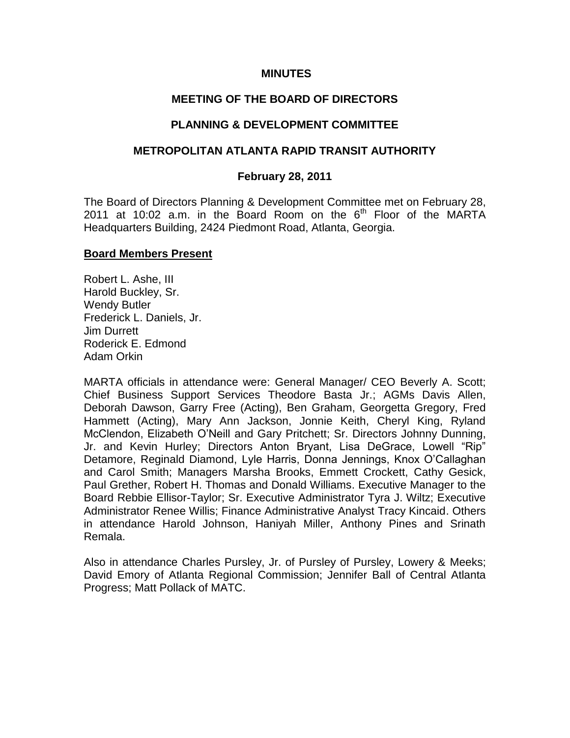### **MINUTES**

# **MEETING OF THE BOARD OF DIRECTORS**

# **PLANNING & DEVELOPMENT COMMITTEE**

## **METROPOLITAN ATLANTA RAPID TRANSIT AUTHORITY**

### **February 28, 2011**

The Board of Directors Planning & Development Committee met on February 28, 2011 at 10:02 a.m. in the Board Room on the  $6<sup>th</sup>$  Floor of the MARTA Headquarters Building, 2424 Piedmont Road, Atlanta, Georgia.

### **Board Members Present**

Robert L. Ashe, III Harold Buckley, Sr. Wendy Butler Frederick L. Daniels, Jr. Jim Durrett Roderick E. Edmond Adam Orkin

MARTA officials in attendance were: General Manager/ CEO Beverly A. Scott; Chief Business Support Services Theodore Basta Jr.; AGMs Davis Allen, Deborah Dawson, Garry Free (Acting), Ben Graham, Georgetta Gregory, Fred Hammett (Acting), Mary Ann Jackson, Jonnie Keith, Cheryl King, Ryland McClendon, Elizabeth O'Neill and Gary Pritchett; Sr. Directors Johnny Dunning, Jr. and Kevin Hurley; Directors Anton Bryant, Lisa DeGrace, Lowell "Rip" Detamore, Reginald Diamond, Lyle Harris, Donna Jennings, Knox O'Callaghan and Carol Smith; Managers Marsha Brooks, Emmett Crockett, Cathy Gesick, Paul Grether, Robert H. Thomas and Donald Williams. Executive Manager to the Board Rebbie Ellisor-Taylor; Sr. Executive Administrator Tyra J. Wiltz; Executive Administrator Renee Willis; Finance Administrative Analyst Tracy Kincaid. Others in attendance Harold Johnson, Haniyah Miller, Anthony Pines and Srinath Remala.

Also in attendance Charles Pursley, Jr. of Pursley of Pursley, Lowery & Meeks; David Emory of Atlanta Regional Commission; Jennifer Ball of Central Atlanta Progress; Matt Pollack of MATC.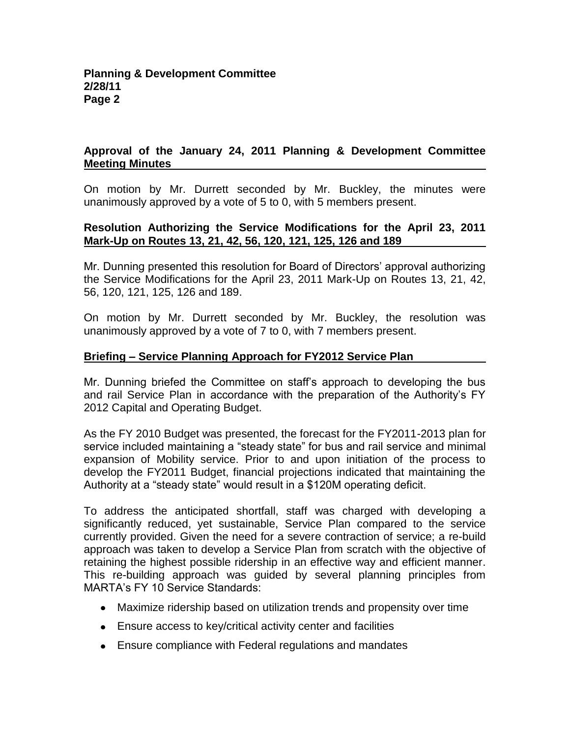# **Approval of the January 24, 2011 Planning & Development Committee Meeting Minutes**

On motion by Mr. Durrett seconded by Mr. Buckley, the minutes were unanimously approved by a vote of 5 to 0, with 5 members present.

## **Resolution Authorizing the Service Modifications for the April 23, 2011 Mark-Up on Routes 13, 21, 42, 56, 120, 121, 125, 126 and 189**

Mr. Dunning presented this resolution for Board of Directors' approval authorizing the Service Modifications for the April 23, 2011 Mark-Up on Routes 13, 21, 42, 56, 120, 121, 125, 126 and 189.

On motion by Mr. Durrett seconded by Mr. Buckley, the resolution was unanimously approved by a vote of 7 to 0, with 7 members present.

# **Briefing – Service Planning Approach for FY2012 Service Plan**

Mr. Dunning briefed the Committee on staff's approach to developing the bus and rail Service Plan in accordance with the preparation of the Authority's FY 2012 Capital and Operating Budget.

As the FY 2010 Budget was presented, the forecast for the FY2011-2013 plan for service included maintaining a "steady state" for bus and rail service and minimal expansion of Mobility service. Prior to and upon initiation of the process to develop the FY2011 Budget, financial projections indicated that maintaining the Authority at a "steady state" would result in a \$120M operating deficit.

To address the anticipated shortfall, staff was charged with developing a significantly reduced, yet sustainable, Service Plan compared to the service currently provided. Given the need for a severe contraction of service; a re-build approach was taken to develop a Service Plan from scratch with the objective of retaining the highest possible ridership in an effective way and efficient manner. This re-building approach was guided by several planning principles from MARTA's FY 10 Service Standards:

- Maximize ridership based on utilization trends and propensity over time
- Ensure access to key/critical activity center and facilities
- Ensure compliance with Federal regulations and mandates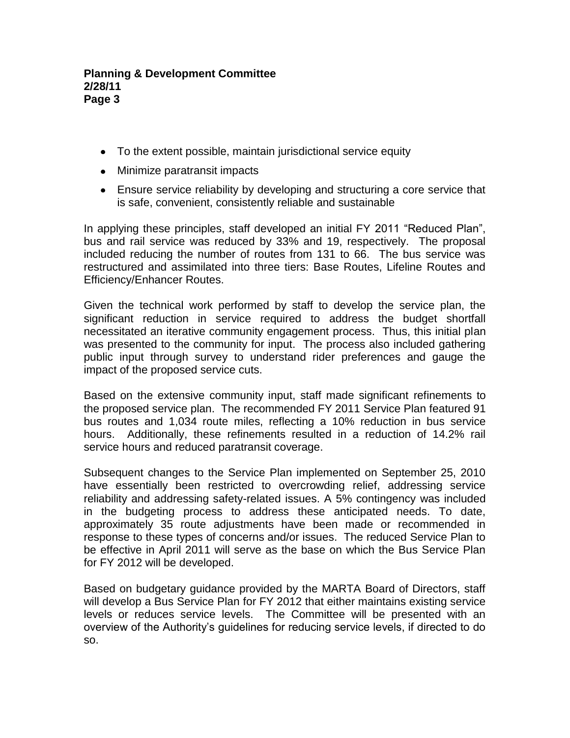- To the extent possible, maintain jurisdictional service equity
- Minimize paratransit impacts
- Ensure service reliability by developing and structuring a core service that is safe, convenient, consistently reliable and sustainable

In applying these principles, staff developed an initial FY 2011 "Reduced Plan", bus and rail service was reduced by 33% and 19, respectively. The proposal included reducing the number of routes from 131 to 66. The bus service was restructured and assimilated into three tiers: Base Routes, Lifeline Routes and Efficiency/Enhancer Routes.

Given the technical work performed by staff to develop the service plan, the significant reduction in service required to address the budget shortfall necessitated an iterative community engagement process. Thus, this initial plan was presented to the community for input. The process also included gathering public input through survey to understand rider preferences and gauge the impact of the proposed service cuts.

Based on the extensive community input, staff made significant refinements to the proposed service plan. The recommended FY 2011 Service Plan featured 91 bus routes and 1,034 route miles, reflecting a 10% reduction in bus service hours. Additionally, these refinements resulted in a reduction of 14.2% rail service hours and reduced paratransit coverage.

Subsequent changes to the Service Plan implemented on September 25, 2010 have essentially been restricted to overcrowding relief, addressing service reliability and addressing safety-related issues. A 5% contingency was included in the budgeting process to address these anticipated needs. To date, approximately 35 route adjustments have been made or recommended in response to these types of concerns and/or issues. The reduced Service Plan to be effective in April 2011 will serve as the base on which the Bus Service Plan for FY 2012 will be developed.

Based on budgetary guidance provided by the MARTA Board of Directors, staff will develop a Bus Service Plan for FY 2012 that either maintains existing service levels or reduces service levels. The Committee will be presented with an overview of the Authority's guidelines for reducing service levels, if directed to do so.